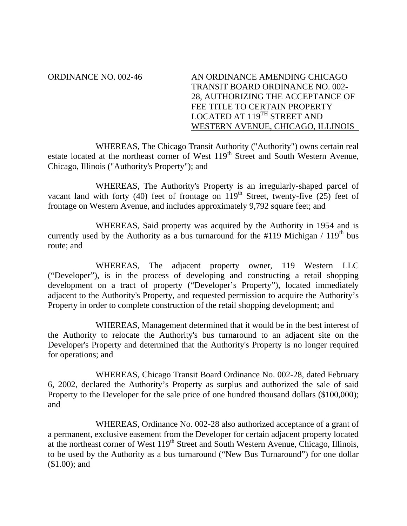ORDINANCE NO. 002-46 AN ORDINANCE AMENDING CHICAGO TRANSIT BOARD ORDINANCE NO. 002- 28, AUTHORIZING THE ACCEPTANCE OF FEE TITLE TO CERTAIN PROPERTY LOCATED AT 119<sup>TH</sup> STREET AND WESTERN AVENUE, CHICAGO, ILLINOIS

WHEREAS, The Chicago Transit Authority ("Authority") owns certain real estate located at the northeast corner of West 119<sup>th</sup> Street and South Western Avenue, Chicago, Illinois ("Authority's Property"); and

WHEREAS, The Authority's Property is an irregularly-shaped parcel of vacant land with forty (40) feet of frontage on  $119<sup>th</sup>$  Street, twenty-five (25) feet of frontage on Western Avenue, and includes approximately 9,792 square feet; and

WHEREAS, Said property was acquired by the Authority in 1954 and is currently used by the Authority as a bus turnaround for the  $\#119$  Michigan /  $119<sup>th</sup>$  bus route; and

WHEREAS, The adjacent property owner, 119 Western LLC ("Developer"), is in the process of developing and constructing a retail shopping development on a tract of property ("Developer's Property"), located immediately adjacent to the Authority's Property, and requested permission to acquire the Authority's Property in order to complete construction of the retail shopping development; and

WHEREAS, Management determined that it would be in the best interest of the Authority to relocate the Authority's bus turnaround to an adjacent site on the Developer's Property and determined that the Authority's Property is no longer required for operations; and

WHEREAS, Chicago Transit Board Ordinance No. 002-28, dated February 6, 2002, declared the Authority's Property as surplus and authorized the sale of said Property to the Developer for the sale price of one hundred thousand dollars (\$100,000); and

WHEREAS, Ordinance No. 002-28 also authorized acceptance of a grant of a permanent, exclusive easement from the Developer for certain adjacent property located at the northeast corner of West  $119<sup>th</sup>$  Street and South Western Avenue, Chicago, Illinois, to be used by the Authority as a bus turnaround ("New Bus Turnaround") for one dollar (\$1.00); and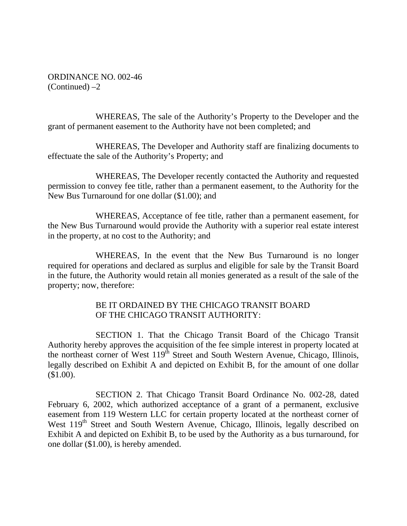ORDINANCE NO. 002-46  $(Continued) -2$ 

WHEREAS, The sale of the Authority's Property to the Developer and the grant of permanent easement to the Authority have not been completed; and

WHEREAS, The Developer and Authority staff are finalizing documents to effectuate the sale of the Authority's Property; and

WHEREAS, The Developer recently contacted the Authority and requested permission to convey fee title, rather than a permanent easement, to the Authority for the New Bus Turnaround for one dollar (\$1.00); and

WHEREAS, Acceptance of fee title, rather than a permanent easement, for the New Bus Turnaround would provide the Authority with a superior real estate interest in the property, at no cost to the Authority; and

WHEREAS, In the event that the New Bus Turnaround is no longer required for operations and declared as surplus and eligible for sale by the Transit Board in the future, the Authority would retain all monies generated as a result of the sale of the property; now, therefore:

## BE IT ORDAINED BY THE CHICAGO TRANSIT BOARD OF THE CHICAGO TRANSIT AUTHORITY:

SECTION 1. That the Chicago Transit Board of the Chicago Transit Authority hereby approves the acquisition of the fee simple interest in property located at the northeast corner of West 119<sup>th</sup> Street and South Western Avenue, Chicago, Illinois, legally described on Exhibit A and depicted on Exhibit B, for the amount of one dollar (\$1.00).

SECTION 2. That Chicago Transit Board Ordinance No. 002-28, dated February 6, 2002, which authorized acceptance of a grant of a permanent, exclusive easement from 119 Western LLC for certain property located at the northeast corner of West 119<sup>th</sup> Street and South Western Avenue, Chicago, Illinois, legally described on Exhibit A and depicted on Exhibit B, to be used by the Authority as a bus turnaround, for one dollar (\$1.00), is hereby amended.